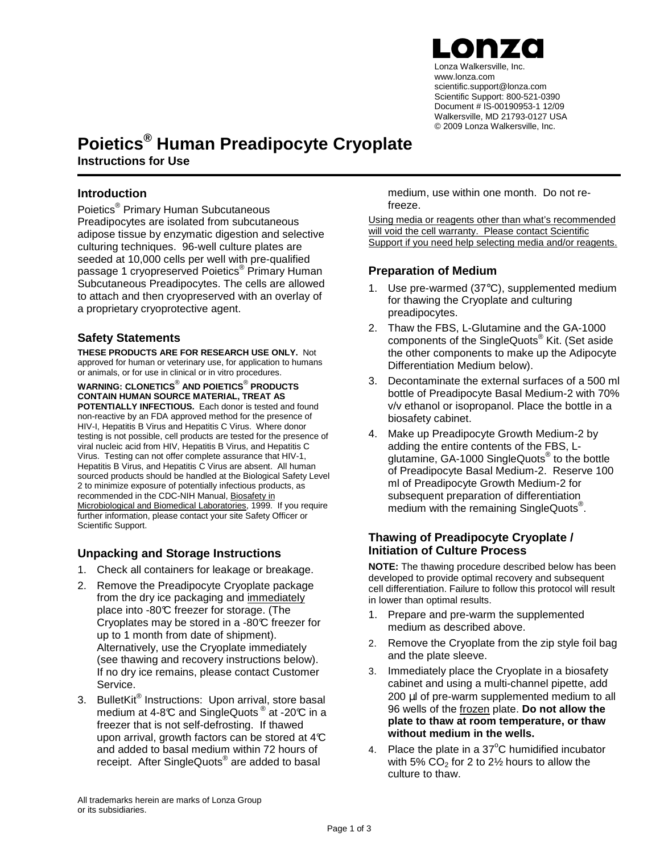Lonza Walkersville, Inc. www.lonza.com scientific.support@lonza.com Scientific Support: 800-521-0390 Document # IS-00190953-1 12/09 Walkersville, MD 21793-0127 USA © 2009 Lonza Walkersville, Inc.

# **Poietics® Human Preadipocyte Cryoplate**

**Instructions for Use** 

### **Introduction**

Poietics® Primary Human Subcutaneous Preadipocytes are isolated from subcutaneous adipose tissue by enzymatic digestion and selective culturing techniques. 96-well culture plates are seeded at 10,000 cells per well with pre-qualified passage 1 cryopreserved Poietics® Primary Human Subcutaneous Preadipocytes. The cells are allowed to attach and then cryopreserved with an overlay of a proprietary cryoprotective agent.

### **Safety Statements**

**THESE PRODUCTS ARE FOR RESEARCH USE ONLY.** Not approved for human or veterinary use, for application to humans or animals, or for use in clinical or in vitro procedures.

**WARNING: CLONETICS**®  **AND POIETICS**®  **PRODUCTS CONTAIN HUMAN SOURCE MATERIAL, TREAT AS POTENTIALLY INFECTIOUS.** Each donor is tested and found non-reactive by an FDA approved method for the presence of HIV-I, Hepatitis B Virus and Hepatitis C Virus. Where donor testing is not possible, cell products are tested for the presence of viral nucleic acid from HIV, Hepatitis B Virus, and Hepatitis C Virus. Testing can not offer complete assurance that HIV-1, Hepatitis B Virus, and Hepatitis C Virus are absent. All human sourced products should be handled at the Biological Safety Level 2 to minimize exposure of potentially infectious products, as recommended in the CDC-NIH Manual, Biosafety in Microbiological and Biomedical Laboratories, 1999. If you require further information, please contact your site Safety Officer or Scientific Support.

## **Unpacking and Storage Instructions**

- 1. Check all containers for leakage or breakage.
- 2. Remove the Preadipocyte Cryoplate package from the dry ice packaging and immediately place into -80°C freezer for storage. (The Cryoplates may be stored in a -80°C freezer for up to 1 month from date of shipment). Alternatively, use the Cryoplate immediately (see thawing and recovery instructions below). If no dry ice remains, please contact Customer Service.
- 3. BulletKit® Instructions: Upon arrival, store basal medium at 4-8°C and SingleQuots  $^{\circ}$  at -20°C in a freezer that is not self-defrosting. If thawed upon arrival, growth factors can be stored at  $4\mathbb{C}$ and added to basal medium within 72 hours of receipt. After SingleQuots<sup>®</sup> are added to basal

medium, use within one month. Do not refreeze.

Using media or reagents other than what's recommended will void the cell warranty. Please contact Scientific Support if you need help selecting media and/or reagents.

### **Preparation of Medium**

- 1. Use pre-warmed (37°C), supplemented medium for thawing the Cryoplate and culturing preadipocytes.
- 2. Thaw the FBS, L-Glutamine and the GA-1000 components of the SingleQuots® Kit. (Set aside the other components to make up the Adipocyte Differentiation Medium below).
- 3. Decontaminate the external surfaces of a 500 ml bottle of Preadipocyte Basal Medium-2 with 70% v/v ethanol or isopropanol. Place the bottle in a biosafety cabinet.
- 4. Make up Preadipocyte Growth Medium-2 by adding the entire contents of the FBS, Lglutamine, GA-1000 SingleQuots<sup>®</sup> to the bottle of Preadipocyte Basal Medium-2. Reserve 100 ml of Preadipocyte Growth Medium-2 for subsequent preparation of differentiation medium with the remaining SingleQuots<sup>®</sup>.

### **Thawing of Preadipocyte Cryoplate / Initiation of Culture Process**

**NOTE:** The thawing procedure described below has been developed to provide optimal recovery and subsequent cell differentiation. Failure to follow this protocol will result in lower than optimal results.

- 1. Prepare and pre-warm the supplemented medium as described above.
- 2. Remove the Cryoplate from the zip style foil bag and the plate sleeve.
- 3. Immediately place the Cryoplate in a biosafety cabinet and using a multi-channel pipette, add 200 ul of pre-warm supplemented medium to all 96 wells of the frozen plate. **Do not allow the plate to thaw at room temperature, or thaw without medium in the wells.**
- 4. Place the plate in a  $37^{\circ}$ C humidified incubator with 5%  $CO<sub>2</sub>$  for 2 to 2½ hours to allow the culture to thaw.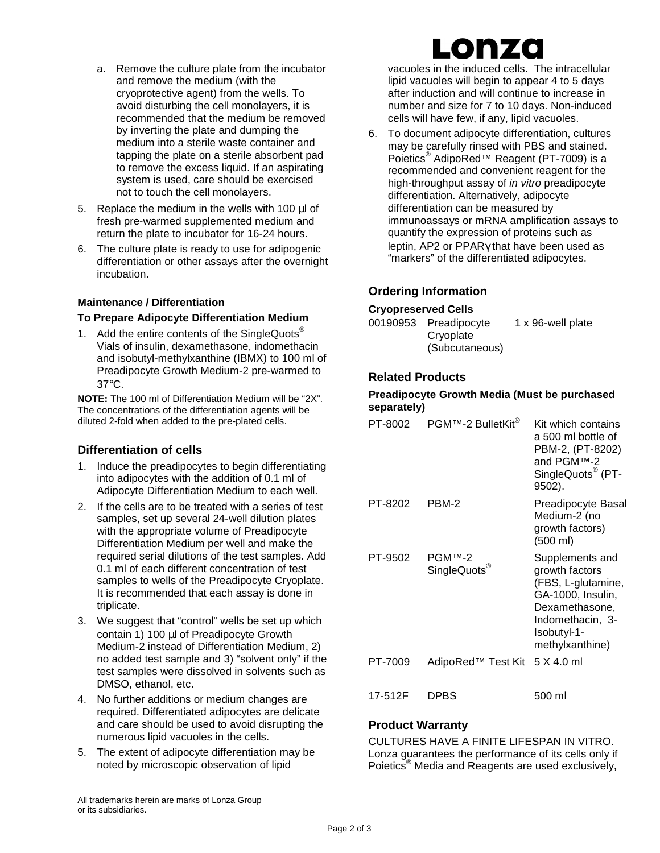- a. Remove the culture plate from the incubator and remove the medium (with the cryoprotective agent) from the wells. To avoid disturbing the cell monolayers, it is recommended that the medium be removed by inverting the plate and dumping the medium into a sterile waste container and tapping the plate on a sterile absorbent pad to remove the excess liquid. If an aspirating system is used, care should be exercised not to touch the cell monolayers.
- 5. Replace the medium in the wells with 100  $\mu$  of fresh pre-warmed supplemented medium and return the plate to incubator for 16-24 hours.
- 6. The culture plate is ready to use for adipogenic differentiation or other assays after the overnight incubation.

### **Maintenance / Differentiation**

#### **To Prepare Adipocyte Differentiation Medium**

1. Add the entire contents of the SingleQuots<sup>®</sup> Vials of insulin, dexamethasone, indomethacin and isobutyl-methylxanthine (IBMX) to 100 ml of Preadipocyte Growth Medium-2 pre-warmed to 37°C.

**NOTE:** The 100 ml of Differentiation Medium will be "2X". The concentrations of the differentiation agents will be diluted 2-fold when added to the pre-plated cells.

### **Differentiation of cells**

- 1. Induce the preadipocytes to begin differentiating into adipocytes with the addition of 0.1 ml of Adipocyte Differentiation Medium to each well.
- 2. If the cells are to be treated with a series of test samples, set up several 24-well dilution plates with the appropriate volume of Preadipocyte Differentiation Medium per well and make the required serial dilutions of the test samples. Add 0.1 ml of each different concentration of test samples to wells of the Preadipocyte Cryoplate. It is recommended that each assay is done in triplicate.
- 3. We suggest that "control" wells be set up which contain 1) 100 µl of Preadipocyte Growth Medium-2 instead of Differentiation Medium, 2) no added test sample and 3) "solvent only" if the test samples were dissolved in solvents such as DMSO, ethanol, etc.
- 4. No further additions or medium changes are required. Differentiated adipocytes are delicate and care should be used to avoid disrupting the numerous lipid vacuoles in the cells.
- 5. The extent of adipocyte differentiation may be noted by microscopic observation of lipid

# Lonzo

vacuoles in the induced cells. The intracellular lipid vacuoles will begin to appear 4 to 5 days after induction and will continue to increase in number and size for 7 to 10 days. Non-induced cells will have few, if any, lipid vacuoles.

6. To document adipocyte differentiation, cultures may be carefully rinsed with PBS and stained. Poietics<sup>®</sup> AdipoRed™ Reagent (PT-7009) is a recommended and convenient reagent for the high-throughput assay of in vitro preadipocyte differentiation. Alternatively, adipocyte differentiation can be measured by immunoassays or mRNA amplification assays to quantify the expression of proteins such as leptin, AP2 or PPARγ that have been used as "markers" of the differentiated adipocytes.

## **Ordering Information**

### **Cryopreserved Cells**

| 00190953 Preadipocyte | 1 x 96-well plate |
|-----------------------|-------------------|
| Cryoplate             |                   |
| (Subcutaneous)        |                   |

### **Related Products**

#### **Preadipocyte Growth Media (Must be purchased separately)**

| PT-8002 | PGM™-2 BulletKit <sup>®</sup>             | Kit which contains<br>a 500 ml bottle of<br>PBM-2, (PT-8202)<br>and PGM™-2<br>SingleQuots <sup>®</sup> (PT-<br>9502).                                |
|---------|-------------------------------------------|------------------------------------------------------------------------------------------------------------------------------------------------------|
| PT-8202 | PBM-2                                     | Preadipocyte Basal<br>Medium-2 (no<br>growth factors)<br>(500 ml)                                                                                    |
| PT-9502 | PGM™-2<br>SingleQuots <sup>®</sup>        | Supplements and<br>growth factors<br>(FBS, L-glutamine,<br>GA-1000, Insulin,<br>Dexamethasone,<br>Indomethacin, 3-<br>-Isobutyl-1<br>methylxanthine) |
| PT-7009 | AdipoRed <sup>™</sup> Test Kit 5 X 4.0 ml |                                                                                                                                                      |
| 17-512F | DPBS                                      | 500 ml                                                                                                                                               |

### **Product Warranty**

CULTURES HAVE A FINITE LIFESPAN IN VITRO. Lonza guarantees the performance of its cells only if Poietics<sup>®</sup> Media and Reagents are used exclusively,